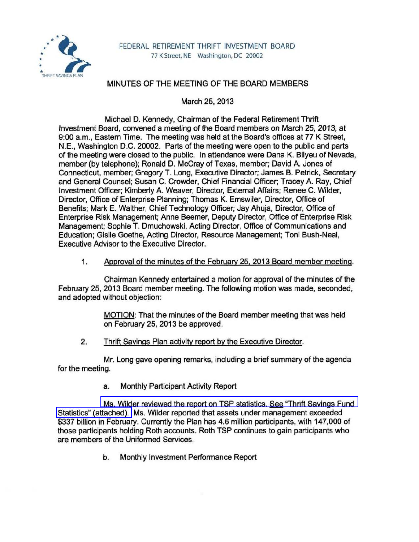

## MINUTES OF THE MEETING OF THE BOARD MEMBERS

March 25, 2013

Michael D. Kennedy, Chairman of the Federal Retirement Thrift Investment Board, convened a meeting of the Board members on March 25, 2013, at 9:00 a.m., Eastern Time. The meeting was held at the Board's offices at 77 K Street, N.E., Washington D.C. 20002. Parts of the meeting were open to the public and parts of the meeting were closed to the public. In attendance were Dana K. Bilyeu of Nevada, member (by telephone); Ronald D. McCray of Texas, member; David A. Jones of Connecticut, member; Gregory T. Long, Executive Director; James B. Petrick, Secretary and General Counsel; Susan C. Crowder, Chief Financial Officer; Tracey A. Ray, Chief Investment Officer; Kimberly A. Weaver, Director, External Affairs; Renee C. Wilder, Director, Office of Enterprise Planning; Thomas K. Emswiler, Director, Office of Benefits; Mark E. Walther, Chief Technology Officer; Jay Ahuja, Director, Office of Enterprise Risk Management; Anne Beemer, Deputy Director, Office of Enterprise Risk Management; Sophie T. Dmuchowski, Acting Director, Office of Communications and Education; Gisile Goethe, Acting Director, Resource Management; Toni Bush-Neal, Executive Advisor to the Executive Director.

1. Approval of the minutes of the Februarv 25. 2013 Board member meeting.

Chairman Kennedy entertained a motion for approval of the minutes of the February 25, 2013 Board member meeting. The following motion was made, seconded, and adopted without objection:

> MOTION: That the minutes of the Board member meeting that was held on February 25, 2013 be approved.

2. Thrift Savings Plan activity report by the Executive Director.

Mr. Long gave opening remarks, including a brief summary of the agenda for the meeting.

a. Monthly Participant Activity Report

[Ms. Wilder reviewed the report on TSP statistics. See "Thrift Savings Fund](http://www.frtib.gov/pdf/minutes/MM-2013Mar-Att1.pdf)  [Statistics" \(attached\).](http://www.frtib.gov/pdf/minutes/MM-2013Mar-Att1.pdf) Ms. Wilder reported that assets under management exceeded \$337 billion in February. Currently the Plan has 4.6 million participants, with 147,000 of those participants holding Roth accounts. Roth TSP continues to gain participants who are members of the Uniformed Services.

b. Monthly Investment Performance Report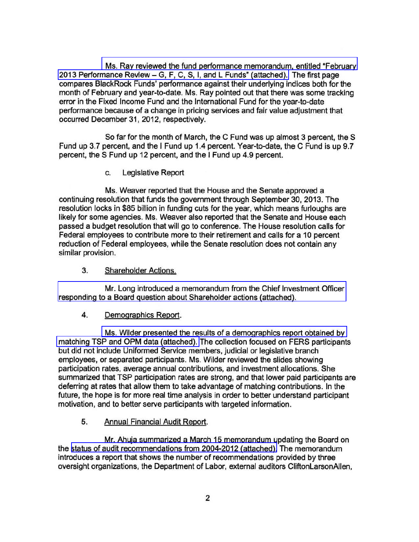[Ms. Ray reviewed the fund performance memorandum, entitled "February](http://www.frtib.gov/pdf/minutes/MM-2013Mar-Att2.pdf)   $2013$  Performance Review  $-$  G, F, C, S, I, and L Funds" (attached). The first page compares BlackRock Funds' performance against their underlying indices both for the month of February and year-to-date. Ms. Ray pointed out that there was some tracking error in the Fixed Income Fund and the International Fund for the year-to-date performance because of a change in pricing services and fair value adjustment that occurred December 31, 2012, respectively.

So far for the month of March, the C Fund was up almost 3 percent, the S Fund up 3.7 percent, and the I Fund up 1.4 percent. Year-to-date, the C Fund is up 9.7 percent, the S Fund up 12 percent, and the I Fund up 4.9 percent.

c. Legislative Report

Ms. Weaver reported that the House and the Senate approved a continuing resolution that funds the government through September 30, 2013. The resolution locks in \$85 billion in funding cuts for the year, which means furloughs are likely for some agencies. Ms. Weaver also reported that the Senate and House each passed a budget resolution that will go to conference. The House resolution calls for Federal employees to contribute more to their retirement and calls for a 10 percent reduction of Federal employees, while the Senate resolution does not contain any similar provision.

3. Shareholder Actions.

[Mr. Long introduced a memorandum from the Chief Investment Officer](http://www.frtib.gov/pdf/minutes/MM-2013Mar-Att3.pdf)  responding to a Board question about Shareholder actions (attached).

### 4. Demographics Report.

[Ms. Wilder presented the results of a demographics report obtained by](http://www.frtib.gov/pdf/minutes/MM-2013Mar-Att4.pdf)  [matching TSP and OPM data \(attached\).](http://www.frtib.gov/pdf/minutes/MM-2013Mar-Att4.pdf) The collection focused on FERS participants but did not include Uniformed Service members, judicial or legislative branch employees, or separated participants. Ms. Wilder reviewed the slides showing participation rates, average annual contributions, and investment allocations. She summarized that TSP participation rates are strong, and that lower paid participants are deferring at rates that allow them to take advantage of matching contributions. In the future, the hope is for more real time analysis in order to better understand participant motivation, and to better serve participants with targeted information.

# 5. Annual Financial Audit Report.

Mr. Ahuja summarized a March 15 memorandum updating the Board on the [status of audit recommendations from 2004-2012 \(attached\).](http://www.frtib.gov/pdf/minutes/MM-2013Mar-Att5.pdf) The memorandum introduces a report that shows the number of recommendations provided by three oversight organizations, the Department of Labor, external auditors CliftonlarsonAllen,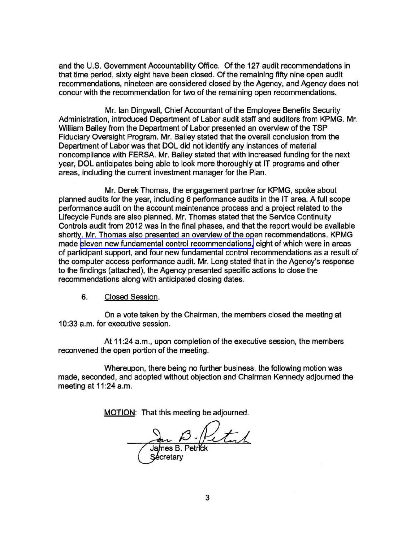and the U.S. Government Accountability Office. Of the 127 audit recommendations in that time period, sixty eight have been closed. Of the remaining fifty nine open audit recommendations, nineteen are considered closed by the Agency, and Agency does not concur with the recommendation for two of the remaining open recommendations.

Mr. Ian Dingwall, Chief Accountant of the Employee Benefits Security Administration, introduced Department of Labor audit staff and auditors from KPMG. Mr. William Bailey from the Department of Labor presented an overview of the TSP Fiduciary Oversight Program. Mr. Bailey stated that the overall conclusion from the Department of Labor was that DOL did not identify any instances of material noncompliance with FERSA. Mr. Bailey stated that with increased funding for the next year, DOL anticipates being able to look more thoroughly at IT programs and other areas, including the current investment manager for the Plan.

Mr. Derek Thomas, the engagement partner for KPMG, spoke about planned audits for the year, including 6 performance audits in the IT area. A full scope performance audit on the account maintenance process and a project related to the Lifecycle Funds are also planned. Mr. Thomas stated that the Service Continuity Controls audit from 2012 was in the final phases, and that the report would be available shortly. Mr. Thomas also presented an overview of the open recommendations. KPMG made [eleven new fundamental control recommendations,](http://www.frtib.gov/pdf/minutes/MM-2013Mar-Att6.pdf) eight of which were in areas of participant support, and four new fundamental control recommendations as a result of the computer access performance audit. Mr. Long stated that in the Agency's response to the findings (attached), the Agency presented specific actions to close the recommendations along with anticipated closing dates.

### 6. Closed Session.

On a vote taken by the Chairman, the members closed the meeting at 10:33 a.m. for executive session.

At 11:24 a.m., upon completion of the executive session, the members reconvened the open portion of the meeting.

Whereupon, there being no further business, the following motion was made, seconded, and adopted without objection and Chairman Kennedy adjourned the meeting at 11:24 a.m.

MOTION: That this meeting be adjourned.

James B. Petal